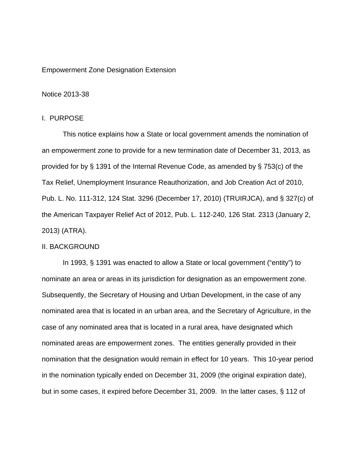## Empowerment Zone Designation Extension

### Notice 2013-38

#### I. PURPOSE

This notice explains how a State or local government amends the nomination of an empowerment zone to provide for a new termination date of December 31, 2013, as provided for by § 1391 of the Internal Revenue Code, as amended by § 753(c) of the Tax Relief, Unemployment Insurance Reauthorization, and Job Creation Act of 2010, Pub. L. No. 111-312, 124 Stat. 3296 (December 17, 2010) (TRUIRJCA), and § 327(c) of the American Taxpayer Relief Act of 2012, Pub. L. 112-240, 126 Stat. 2313 (January 2, 2013) (ATRA).

## II. BACKGROUND

 In 1993, § 1391 was enacted to allow a State or local government ("entity") to nominate an area or areas in its jurisdiction for designation as an empowerment zone. Subsequently, the Secretary of Housing and Urban Development, in the case of any nominated area that is located in an urban area, and the Secretary of Agriculture, in the case of any nominated area that is located in a rural area, have designated which nominated areas are empowerment zones. The entities generally provided in their nomination that the designation would remain in effect for 10 years. This 10-year period in the nomination typically ended on December 31, 2009 (the original expiration date), but in some cases, it expired before December 31, 2009. In the latter cases, § 112 of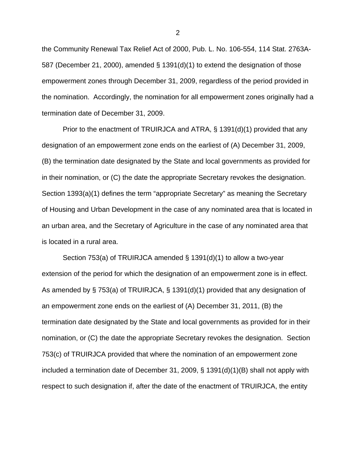the Community Renewal Tax Relief Act of 2000, Pub. L. No. 106-554, 114 Stat. 2763A-587 (December 21, 2000), amended § 1391(d)(1) to extend the designation of those empowerment zones through December 31, 2009, regardless of the period provided in the nomination. Accordingly, the nomination for all empowerment zones originally had a termination date of December 31, 2009.

Prior to the enactment of TRUIRJCA and ATRA, § 1391(d)(1) provided that any designation of an empowerment zone ends on the earliest of (A) December 31, 2009, (B) the termination date designated by the State and local governments as provided for in their nomination, or (C) the date the appropriate Secretary revokes the designation. Section 1393(a)(1) defines the term "appropriate Secretary" as meaning the Secretary of Housing and Urban Development in the case of any nominated area that is located in an urban area, and the Secretary of Agriculture in the case of any nominated area that is located in a rural area.

 Section 753(a) of TRUIRJCA amended § 1391(d)(1) to allow a two-year extension of the period for which the designation of an empowerment zone is in effect. As amended by § 753(a) of TRUIRJCA, § 1391(d)(1) provided that any designation of an empowerment zone ends on the earliest of (A) December 31, 2011, (B) the termination date designated by the State and local governments as provided for in their nomination, or (C) the date the appropriate Secretary revokes the designation. Section 753(c) of TRUIRJCA provided that where the nomination of an empowerment zone included a termination date of December 31, 2009, § 1391(d)(1)(B) shall not apply with respect to such designation if, after the date of the enactment of TRUIRJCA, the entity

2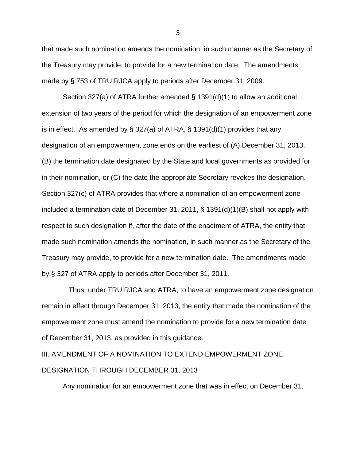that made such nomination amends the nomination, in such manner as the Secretary of the Treasury may provide, to provide for a new termination date. The amendments made by § 753 of TRUIRJCA apply to periods after December 31, 2009.

Section 327(a) of ATRA further amended  $\S$  1391(d)(1) to allow an additional extension of two years of the period for which the designation of an empowerment zone is in effect. As amended by  $\S 327(a)$  of ATRA,  $\S 1391(d)(1)$  provides that any designation of an empowerment zone ends on the earliest of (A) December 31, 2013, (B) the termination date designated by the State and local governments as provided for in their nomination, or (C) the date the appropriate Secretary revokes the designation. Section 327(c) of ATRA provides that where a nomination of an empowerment zone included a termination date of December 31, 2011, § 1391(d)(1)(B) shall not apply with respect to such designation if, after the date of the enactment of ATRA, the entity that made such nomination amends the nomination, in such manner as the Secretary of the Treasury may provide, to provide for a new termination date. The amendments made by § 327 of ATRA apply to periods after December 31, 2011.

 Thus, under TRUIRJCA and ATRA, to have an empowerment zone designation remain in effect through December 31, 2013, the entity that made the nomination of the empowerment zone must amend the nomination to provide for a new termination date of December 31, 2013, as provided in this guidance.

III. AMENDMENT OF A NOMINATION TO EXTEND EMPOWERMENT ZONE DESIGNATION THROUGH DECEMBER 31, 2013

Any nomination for an empowerment zone that was in effect on December 31,

3